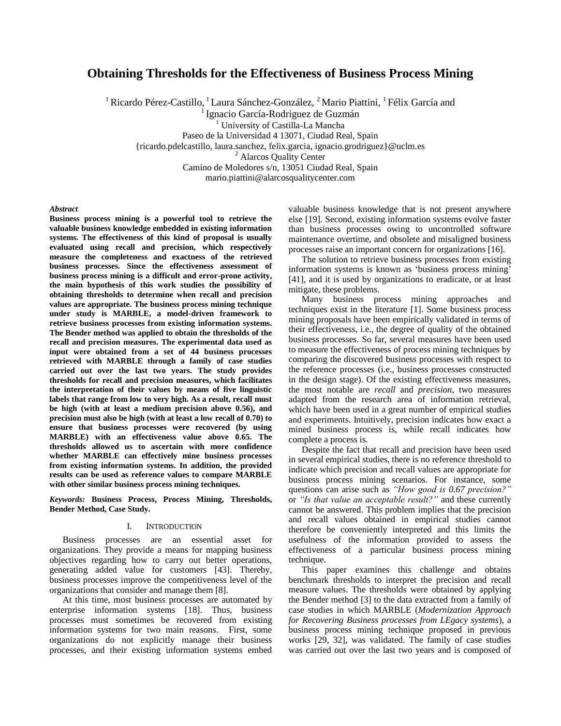# **Obtaining Thresholds for the Effectiveness of Business Process Mining**

<sup>1</sup> Ricardo Pérez-Castillo, <sup>1</sup> Laura Sánchez-González, <sup>2</sup> Mario Piattini, <sup>1</sup> Félix García and

<sup>1</sup> Ignacio García-Rodriguez de Guzmán

<sup>1</sup> University of Castilla-La Mancha

Paseo de la Universidad 4 13071, Ciudad Real, Spain

{ricardo.pdelcastillo, laura.sanchez, felix.garcia, ignacio.grodriguez}@uclm.es

<sup>2</sup> Alarcos Quality Center

Camino de Moledores s/n, 13051 Ciudad Real, Spain

mario.piattini@alarcosqualitycenter.com

# *Abstract*

**Business process mining is a powerful tool to retrieve the valuable business knowledge embedded in existing information systems. The effectiveness of this kind of proposal is usually evaluated using recall and precision, which respectively measure the completeness and exactness of the retrieved business processes. Since the effectiveness assessment of business process mining is a difficult and error-prone activity, the main hypothesis of this work studies the possibility of obtaining thresholds to determine when recall and precision values are appropriate. The business process mining technique under study is MARBLE, a model-driven framework to retrieve business processes from existing information systems. The Bender method was applied to obtain the thresholds of the recall and precision measures. The experimental data used as input were obtained from a set of 44 business processes retrieved with MARBLE through a family of case studies carried out over the last two years. The study provides thresholds for recall and precision measures, which facilitates the interpretation of their values by means of five linguistic labels that range from low to very high. As a result, recall must be high (with at least a medium precision above 0.56), and precision must also be high (with at least a low recall of 0.70) to ensure that business processes were recovered (by using MARBLE) with an effectiveness value above 0.65. The thresholds allowed us to ascertain with more confidence whether MARBLE can effectively mine business processes from existing information systems. In addition, the provided results can be used as reference values to compare MARBLE with other similar business process mining techniques.**

*Keywords:* **Business Process, Process Mining, Thresholds, Bender Method, Case Study.**

### I. INTRODUCTION

Business processes are an essential asset for organizations. They provide a means for mapping business objectives regarding how to carry out better operations, generating added value for customers [\[43\]](#page-9-0). Thereby, business processes improve the competitiveness level of the organizations that consider and manage them [\[8\]](#page-8-0).

At this time, most business processes are automated by enterprise information systems [\[18\]](#page-8-1). Thus, business processes must sometimes be recovered from existing information systems for two main reasons. First, some organizations do not explicitly manage their business processes, and their existing information systems embed valuable business knowledge that is not present anywhere else [\[19\]](#page-8-2). Second, existing information systems evolve faster than business processes owing to uncontrolled software maintenance overtime, and obsolete and misaligned business processes raise an important concern for organizations [\[16\]](#page-8-3).

The solution to retrieve business processes from existing information systems is known as "business process mining" [\[41\]](#page-9-1), and it is used by organizations to eradicate, or at least mitigate, these problems.

Many business process mining approaches and techniques exist in the literature [\[1\]](#page-8-4). Some business process mining proposals have been empirically validated in terms of their effectiveness, i.e., the degree of quality of the obtained business processes. So far, several measures have been used to measure the effectiveness of process mining techniques by comparing the discovered business processes with respect to the reference processes (i.e., business processes constructed in the design stage). Of the existing effectiveness measures, the most notable are *recall* and *precision*, two measures adapted from the research area of information retrieval, which have been used in a great number of empirical studies and experiments. Intuitively, precision indicates how exact a mined business process is, while recall indicates how complete a process is.

Despite the fact that recall and precision have been used in several empirical studies, there is no reference threshold to indicate which precision and recall values are appropriate for business process mining scenarios. For instance, some questions can arise such as *"How good is 0.67 precision?"* or *"Is that value an acceptable result?"* and these currently cannot be answered. This problem implies that the precision and recall values obtained in empirical studies cannot therefore be conveniently interpreted and this limits the usefulness of the information provided to assess the effectiveness of a particular business process mining technique.

This paper examines this challenge and obtains benchmark thresholds to interpret the precision and recall measure values. The thresholds were obtained by applying the Bender method [\[3\]](#page-8-5) to the data extracted from a family of case studies in which MARBLE (*Modernization Approach for Recovering Business processes from LEgacy systems*), a business process mining technique proposed in previous works [\[29,](#page-9-2) [32\]](#page-9-3), was validated. The family of case studies was carried out over the last two years and is composed of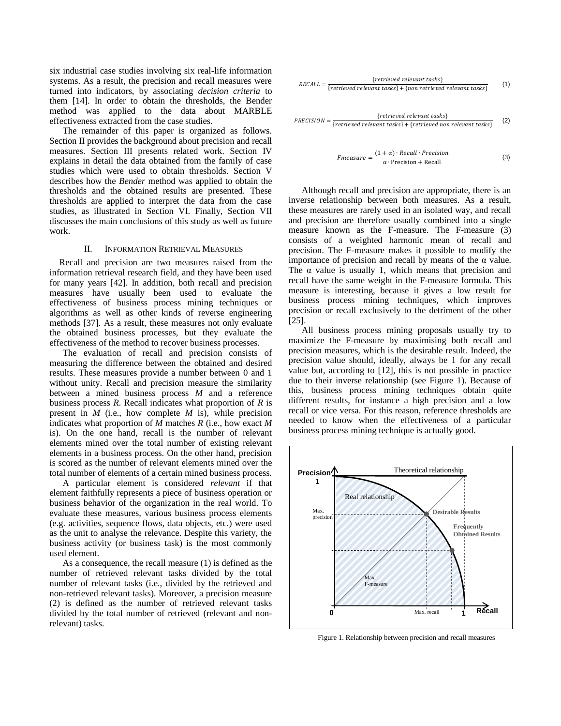six industrial case studies involving six real-life information systems. As a result, the precision and recall measures were turned into indicators, by associating *decision criteria* to them [\[14\]](#page-8-6). In order to obtain the thresholds, the Bender method was applied to the data about MARBLE effectiveness extracted from the case studies.

The remainder of this paper is organized as follows. Section [II](#page-1-0) provides the background about precision and recall measures. Section [III](#page-2-0) presents related work. Section [IV](#page-3-0) explains in detail the data obtained from the family of case studies which were used to obtain thresholds. Section [V](#page-5-0) describes how the *Bender* method was applied to obtain the thresholds and the obtained results are presented. These thresholds are applied to interpret the data from the case studies, as illustrated in Section [VI.](#page-7-0) Finally, Section [VII](#page-8-7) discusses the main conclusions of this study as well as future work.

### II. INFORMATION RETRIEVAL MEASURES

<span id="page-1-0"></span>Recall and precision are two measures raised from the information retrieval research field, and they have been used for many years [\[42\]](#page-9-4). In addition, both recall and precision measures have usually been used to evaluate the effectiveness of business process mining techniques or algorithms as well as other kinds of reverse engineering methods [\[37\]](#page-9-5). As a result, these measures not only evaluate the obtained business processes, but they evaluate the effectiveness of the method to recover business processes.

The evaluation of recall and precision consists of measuring the difference between the obtained and desired results. These measures provide a number between 0 and 1 without unity. Recall and precision measure the similarity between a mined business process *M* and a reference business process *R*. Recall indicates what proportion of *R* is present in *M* (i.e., how complete *M* is), while precision indicates what proportion of *M* matches *R* (i.e., how exact *M* is). On the one hand, recall is the number of relevant elements mined over the total number of existing relevant elements in a business process. On the other hand, precision is scored as the number of relevant elements mined over the total number of elements of a certain mined business process.

A particular element is considered *relevant* if that element faithfully represents a piece of business operation or business behavior of the organization in the real world. To evaluate these measures, various business process elements (e.g. activities, sequence flows, data objects, etc.) were used as the unit to analyse the relevance. Despite this variety, the business activity (or business task) is the most commonly used element.

As a consequence, the recall measure (1) is defined as the number of retrieved relevant tasks divided by the total number of relevant tasks (i.e., divided by the retrieved and non-retrieved relevant tasks). Moreover, a precision measure (2) is defined as the number of retrieved relevant tasks divided by the total number of retrieved (relevant and nonrelevant) tasks.



$$
PRECISION = \frac{\{retrieved relevant tasks\}}{\{retrieved relevant tasks\} + \{retrieved non relevant tasks\}}
$$
 (2)

$$
Fmeasure = \frac{(1 + \alpha) \cdot Recall \cdot Precision}{\alpha \cdot Precision + Recall}
$$
 (3)

Although recall and precision are appropriate, there is an inverse relationship between both measures. As a result, these measures are rarely used in an isolated way, and recall and precision are therefore usually combined into a single measure known as the F-measure. The F-measure (3) consists of a weighted harmonic mean of recall and precision. The F-measure makes it possible to modify the importance of precision and recall by means of the α value. The  $\alpha$  value is usually 1, which means that precision and recall have the same weight in the F-measure formula. This measure is interesting, because it gives a low result for business process mining techniques, which improves precision or recall exclusively to the detriment of the other [\[25\]](#page-9-6).

All business process mining proposals usually try to maximize the F-measure by maximising both recall and precision measures, which is the desirable result. Indeed, the precision value should, ideally, always be 1 for any recall value but, according to [\[12\]](#page-8-8), this is not possible in practice due to their inverse relationship (see [Figure 1\)](#page-1-1). Because of this, business process mining techniques obtain quite different results, for instance a high precision and a low recall or vice versa. For this reason, reference thresholds are needed to know when the effectiveness of a particular business process mining technique is actually good.



<span id="page-1-1"></span>Figure 1. Relationship between precision and recall measures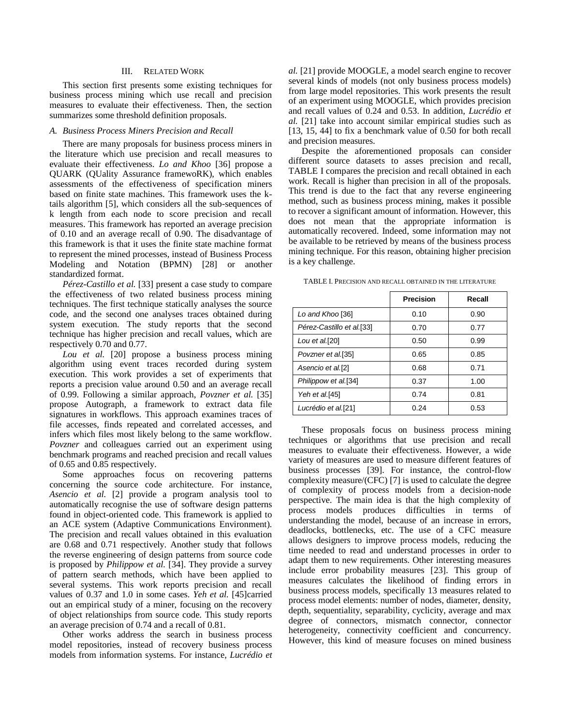# III. RELATED WORK

<span id="page-2-0"></span>This section first presents some existing techniques for business process mining which use recall and precision measures to evaluate their effectiveness. Then, the section summarizes some threshold definition proposals.

# *A. Business Process Miners Precision and Recall*

There are many proposals for business process miners in the literature which use precision and recall measures to evaluate their effectiveness. *Lo and Khoo* [\[36\]](#page-9-7) propose a QUARK (QUality Assurance framewoRK), which enables assessments of the effectiveness of specification miners based on finite state machines. This framework uses the ktails algorithm [\[5\]](#page-8-9), which considers all the sub-sequences of k length from each node to score precision and recall measures. This framework has reported an average precision of 0.10 and an average recall of 0.90. The disadvantage of this framework is that it uses the finite state machine format to represent the mined processes, instead of Business Process Modeling and Notation (BPMN) [\[28\]](#page-9-8) or another standardized format.

*Pérez-Castillo et al.* [\[33\]](#page-9-9) present a case study to compare the effectiveness of two related business process mining techniques. The first technique statically analyses the source code, and the second one analyses traces obtained during system execution. The study reports that the second technique has higher precision and recall values, which are respectively 0.70 and 0.77.

*Lou et al.* [\[20\]](#page-8-10) propose a business process mining algorithm using event traces recorded during system execution. This work provides a set of experiments that reports a precision value around 0.50 and an average recall of 0.99. Following a similar approach, *Povzner et al.* [\[35\]](#page-9-10) propose Autograph, a framework to extract data file signatures in workflows. This approach examines traces of file accesses, finds repeated and correlated accesses, and infers which files most likely belong to the same workflow. *Povzner* and colleagues carried out an experiment using benchmark programs and reached precision and recall values of 0.65 and 0.85 respectively.

Some approaches focus on recovering patterns concerning the source code architecture. For instance, *Asencio et al.* [\[2\]](#page-8-11) provide a program analysis tool to automatically recognise the use of software design patterns found in object-oriented code. This framework is applied to an ACE system (Adaptive Communications Environment). The precision and recall values obtained in this evaluation are 0.68 and 0.71 respectively. Another study that follows the reverse engineering of design patterns from source code is proposed by *Philippow et al.* [\[34\]](#page-9-11). They provide a survey of pattern search methods, which have been applied to several systems. This work reports precision and recall values of 0.37 and 1.0 in some cases. *Yeh et al.* [\[45\]](#page-9-12)carried out an empirical study of a miner, focusing on the recovery of object relationships from source code. This study reports an average precision of 0.74 and a recall of 0.81.

Other works address the search in business process model repositories, instead of recovery business process models from information systems. For instance, *Lucrédio et* 

*al.* [\[21\]](#page-8-12) provide MOOGLE, a model search engine to recover several kinds of models (not only business process models) from large model repositories. This work presents the result of an experiment using MOOGLE, which provides precision and recall values of 0.24 and 0.53. In addition, *Lucrédio et al.* [\[21\]](#page-8-12) take into account similar empirical studies such as [\[13,](#page-8-13) [15,](#page-8-14) [44\]](#page-9-13) to fix a benchmark value of 0.50 for both recall and precision measures.

Despite the aforementioned proposals can consider different source datasets to asses precision and recall, [TABLE I](#page-2-1) compares the precision and recall obtained in each work. Recall is higher than precision in all of the proposals. This trend is due to the fact that any reverse engineering method, such as business process mining, makes it possible to recover a significant amount of information. However, this does not mean that the appropriate information is automatically recovered. Indeed, some information may not be available to be retrieved by means of the business process mining technique. For this reason, obtaining higher precision is a key challenge.

|                           | <b>Precision</b> | Recall |
|---------------------------|------------------|--------|
| Lo and Khoo [36]          | 0.10             | 0.90   |
| Pérez-Castillo et al.[33] | 0.70             | 0.77   |
| Lou et al.[20]            | 0.50             | 0.99   |
| Povzner et al.[35]        | 0.65             | 0.85   |
| Asencio et al.[2]         | 0.68             | 0.71   |
| Philippow et al.[34]      | 0.37             | 1.00   |
| <i>Yeh et al.</i> [45]    | 0.74             | 0.81   |
| Lucrédio et al.[21]       | 0.24             | 0.53   |

<span id="page-2-1"></span>TABLE I. PRECISION AND RECALL OBTAINED IN THE LITERATURE

These proposals focus on business process mining techniques or algorithms that use precision and recall measures to evaluate their effectiveness. However, a wide variety of measures are used to measure different features of business processes [\[39\]](#page-9-14). For instance, the control-flow complexity measure/(CFC) [\[7\]](#page-8-15) is used to calculate the degree of complexity of process models from a decision-node perspective. The main idea is that the high complexity of process models produces difficulties in terms of understanding the model, because of an increase in errors, deadlocks, bottlenecks, etc. The use of a CFC measure allows designers to improve process models, reducing the time needed to read and understand processes in order to adapt them to new requirements. Other interesting measures include error probability measures [\[23\]](#page-9-15). This group of measures calculates the likelihood of finding errors in business process models, specifically 13 measures related to process model elements: number of nodes, diameter, density, depth, sequentiality, separability, cyclicity, average and max degree of connectors, mismatch connector, connector heterogeneity, connectivity coefficient and concurrency. However, this kind of measure focuses on mined business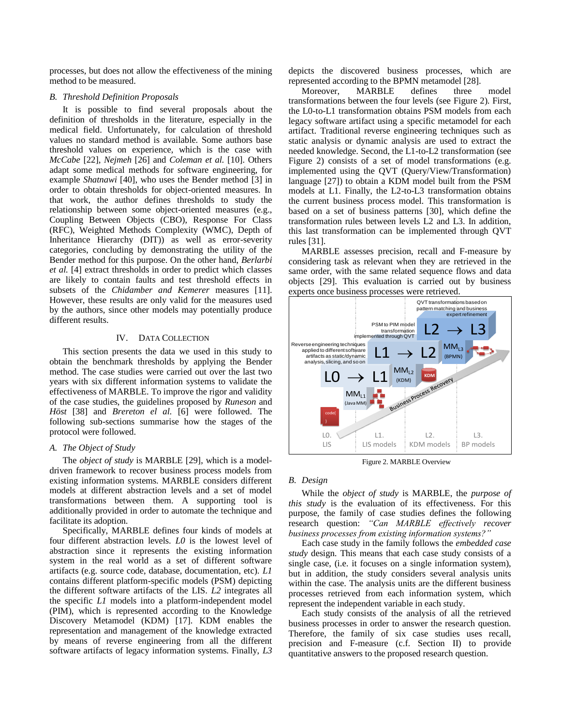processes, but does not allow the effectiveness of the mining method to be measured.

# *B. Threshold Definition Proposals*

It is possible to find several proposals about the definition of thresholds in the literature, especially in the medical field. Unfortunately, for calculation of threshold values no standard method is available. Some authors base threshold values on experience, which is the case with *McCabe* [\[22\]](#page-8-16), *Nejmeh* [\[26\]](#page-9-16) and *Coleman et al.* [\[10\]](#page-8-17). Others adapt some medical methods for software engineering, for example *Shatnawi* [\[40\]](#page-9-17), who uses the Bender method [\[3\]](#page-8-5) in order to obtain thresholds for object-oriented measures. In that work, the author defines thresholds to study the relationship between some object-oriented measures (e.g., Coupling Between Objects (CBO), Response For Class (RFC), Weighted Methods Complexity (WMC), Depth of Inheritance Hierarchy (DIT)) as well as error-severity categories, concluding by demonstrating the utility of the Bender method for this purpose. On the other hand, *Berlarbi et al.* [\[4\]](#page-8-18) extract thresholds in order to predict which classes are likely to contain faults and test threshold effects in subsets of the *Chidamber and Kemerer* measures [\[11\]](#page-8-19). However, these results are only valid for the measures used by the authors, since other models may potentially produce different results.

### IV. DATA COLLECTION

<span id="page-3-0"></span>This section presents the data we used in this study to obtain the benchmark thresholds by applying the Bender method. The case studies were carried out over the last two years with six different information systems to validate the effectiveness of MARBLE. To improve the rigor and validity of the case studies, the guidelines proposed by *Runeson* and *Höst* [\[38\]](#page-9-18) and *Brereton el al.* [\[6\]](#page-8-20) were followed. The following sub-sections summarise how the stages of the protocol were followed.

# *A. The Object of Study*

The *object of study* is MARBLE [\[29\]](#page-9-2), which is a modeldriven framework to recover business process models from existing information systems. MARBLE considers different models at different abstraction levels and a set of model transformations between them. A supporting tool is additionally provided in order to automate the technique and facilitate its adoption.

Specifically, MARBLE defines four kinds of models at four different abstraction levels. *L0* is the lowest level of abstraction since it represents the existing information system in the real world as a set of different software artifacts (e.g. source code, database, documentation, etc). *L1* contains different platform-specific models (PSM) depicting the different software artifacts of the LIS. *L2* integrates all the specific *L1* models into a platform-independent model (PIM), which is represented according to the Knowledge Discovery Metamodel (KDM) [\[17\]](#page-8-21). KDM enables the representation and management of the knowledge extracted by means of reverse engineering from all the different software artifacts of legacy information systems. Finally, *L3*

depicts the discovered business processes, which are represented according to the BPMN metamodel [\[28\]](#page-9-8).

Moreover, MARBLE defines three model transformations between the four levels (see [Figure 2\)](#page-3-1). First, the L0-to-L1 transformation obtains PSM models from each legacy software artifact using a specific metamodel for each artifact. Traditional reverse engineering techniques such as static analysis or dynamic analysis are used to extract the needed knowledge. Second, the L1-to-L2 transformation (see [Figure 2\)](#page-3-1) consists of a set of model transformations (e.g. implemented using the QVT (Query/View/Transformation) language [\[27\]](#page-9-19)) to obtain a KDM model built from the PSM models at L1. Finally, the L2-to-L3 transformation obtains the current business process model. This transformation is based on a set of business patterns [\[30\]](#page-9-20), which define the transformation rules between levels L2 and L3. In addition, this last transformation can be implemented through QVT rules [\[31\]](#page-9-21).

MARBLE assesses precision, recall and F-measure by considering task as relevant when they are retrieved in the same order, with the same related sequence flows and data objects [\[29\]](#page-9-2). This evaluation is carried out by business experts once business processes were retrieved.



Figure 2. MARBLE Overview

#### <span id="page-3-2"></span><span id="page-3-1"></span>*B. Design*

While the *object of study* is MARBLE, the *purpose of this study* is the evaluation of its effectiveness. For this purpose, the family of case studies defines the following research question: *"Can MARBLE effectively recover business processes from existing information systems?"*

Each case study in the family follows the *embedded case study* design. This means that each case study consists of a single case, (i.e. it focuses on a single information system), but in addition, the study considers several analysis units within the case. The analysis units are the different business processes retrieved from each information system, which represent the independent variable in each study.

Each study consists of the analysis of all the retrieved business processes in order to answer the research question. Therefore, the family of six case studies uses recall, precision and F-measure (c.f. Section [II\)](#page-1-0) to provide quantitative answers to the proposed research question.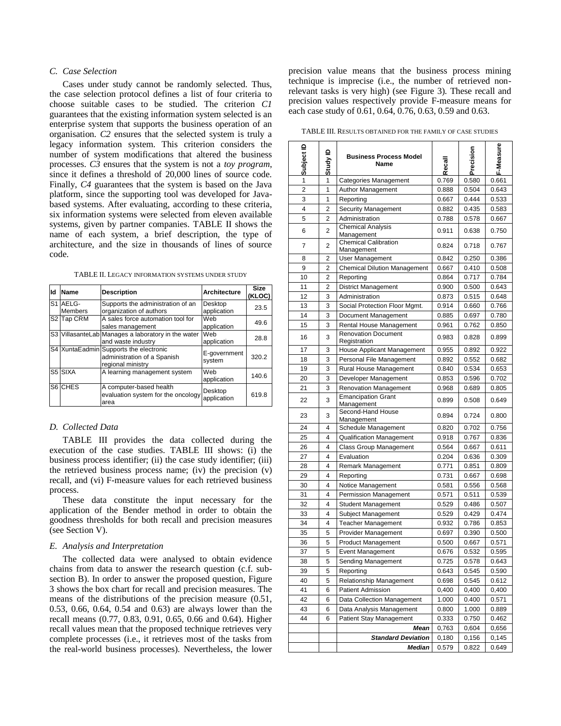# *C. Case Selection*

Cases under study cannot be randomly selected. Thus, the case selection protocol defines a list of four criteria to choose suitable cases to be studied. The criterion *C1* guarantees that the existing information system selected is an enterprise system that supports the business operation of an organisation. *C2* ensures that the selected system is truly a legacy information system. This criterion considers the number of system modifications that altered the business processes. *C3* ensures that the system is not a *toy program*, since it defines a threshold of 20,000 lines of source code. Finally, *C4* guarantees that the system is based on the Java platform, since the supporting tool was developed for Javabased systems. After evaluating, according to these criteria, six information systems were selected from eleven available systems, given by partner companies. [TABLE II](#page-4-0) shows the name of each system, a brief description, the type of architecture, and the size in thousands of lines of source code.

TABLE II. LEGACY INFORMATION SYSTEMS UNDER STUDY

<span id="page-4-0"></span>

| ld | Name                       | <b>Description</b>                                                                         | <b>Architecture</b>    | <b>Size</b><br>(KLOC) |
|----|----------------------------|--------------------------------------------------------------------------------------------|------------------------|-----------------------|
|    | S1 AELG-<br><b>Members</b> | Supports the administration of an<br>organization of authors                               | Desktop<br>application | 23.5                  |
|    | S2 Tap CRM                 | A sales force automation tool for<br>sales management                                      | Web<br>application     | 49.6                  |
|    |                            | S3 VillasanteLab Manages a laboratory in the water<br>and waste industry                   | Web<br>application     | 28.8                  |
|    |                            | S4 XuntaEadmin Supports the electronic<br>administration of a Spanish<br>regional ministry | E-government<br>system | 320.2                 |
|    | S5 SIXA                    | A learning management system                                                               | Web<br>application     | 140.6                 |
|    | S6 CHES                    | A computer-based health<br>evaluation system for the oncology<br>area                      | Desktop<br>application | 619.8                 |

# *D. Collected Data*

[TABLE III](#page-4-1) provides the data collected during the execution of the case studies. [TABLE III](#page-4-1) shows: (i) the business process identifier; (ii) the case study identifier; (iii) the retrieved business process name; (iv) the precision (v) recall, and (vi) F-measure values for each retrieved business process.

These data constitute the input necessary for the application of the Bender method in order to obtain the goodness thresholds for both recall and precision measures (see Sectio[n V\)](#page-5-0).

#### *E. Analysis and Interpretation*

The collected data were analysed to obtain evidence chains from data to answer the research question (c.f. subsection [B\)](#page-3-2). In order to answer the proposed question, [Figure](#page-5-1)  [3](#page-5-1) shows the box chart for recall and precision measures. The means of the distributions of the precision measure (0.51, 0.53, 0.66, 0.64, 0.54 and 0.63) are always lower than the recall means (0.77, 0.83, 0.91, 0.65, 0.66 and 0.64). Higher recall values mean that the proposed technique retrieves very complete processes (i.e., it retrieves most of the tasks from the real-world business processes). Nevertheless, the lower

precision value means that the business process mining technique is imprecise (i.e., the number of retrieved nonrelevant tasks is very high) (see [Figure 3\)](#page-5-1). These recall and precision values respectively provide F-measure means for each case study of 0.61, 0.64, 0.76, 0.63, 0.59 and 0.63.

<span id="page-4-1"></span>TABLE III. RESULTS OBTAINED FOR THE FAMILY OF CASE STUDIES

| Subject ID<br>Precision<br>Study ID<br>Recall                           | 0.661 |
|-------------------------------------------------------------------------|-------|
| 0.769<br>0.580<br>1<br>Categories Management<br>1                       |       |
| 2<br>1<br>Author Management<br>0.504<br>0.888                           | 0.643 |
| 3<br>1<br>Reporting<br>0.444<br>0.667                                   | 0.533 |
| 4<br>2<br><b>Security Management</b><br>0.882<br>0.435                  | 0.583 |
| 5<br>2<br>Administration<br>0.788<br>0.578                              | 0.667 |
| <b>Chemical Analysis</b><br>6<br>2<br>0.911<br>0.638<br>Management      | 0.750 |
| <b>Chemical Calibration</b><br>7<br>2<br>0.718<br>0.824<br>Management   | 0.767 |
| 2<br>8<br>User Management<br>0.842<br>0.250                             | 0.386 |
| <b>Chemical Dilution Management</b><br>2<br>0.410<br>9<br>0.667         | 0.508 |
| 10<br>2<br>0.717<br>Reporting<br>0.864                                  | 0.784 |
| 11<br>2<br><b>District Management</b><br>0.900<br>0.500                 | 0.643 |
| 12<br>0.515<br>3<br>Administration<br>0.873                             | 0.648 |
| 13<br>3<br>Social Protection Floor Mgmt.<br>0.660<br>0.914              | 0.766 |
| 14<br>3<br>Document Management<br>0.885<br>0.697                        | 0.780 |
| 15<br>3<br>Rental House Management<br>0.961<br>0.762                    | 0.850 |
| <b>Renovation Document</b><br>16<br>3<br>0.983<br>0.828<br>Registration | 0.899 |
| 17<br>House Applicant Management<br>3<br>0.955<br>0.892                 | 0.922 |
| 18<br>3<br>Personal File Management<br>0.892<br>0.552                   | 0.682 |
| 19<br>3<br>Rural House Management<br>0.840<br>0.534                     | 0.653 |
| Developer Management<br>20<br>3<br>0.853<br>0.596                       | 0.702 |
| 21<br>3<br>Renovation Management<br>0.968<br>0.689                      | 0.805 |
| <b>Emancipation Grant</b><br>22<br>3<br>0.899<br>0.508<br>Management    | 0.649 |
| Second-Hand House<br>23<br>3<br>0.894<br>0.724<br>Management            | 0.800 |
| 24<br>4<br>Schedule Management<br>0.820<br>0.702                        | 0.756 |
| 25<br>4<br>Qualification Management<br>0.767<br>0.918                   | 0.836 |
| 26<br>4<br><b>Class Group Management</b><br>0.564<br>0.667              | 0.611 |
| 27<br>4<br>Evaluation<br>0.204<br>0.636                                 | 0.309 |
| 28<br>4<br>Remark Management<br>0.771<br>0.851                          | 0.809 |
| 29<br>4<br>Reporting<br>0.731<br>0.667                                  | 0.698 |
| 30<br>4<br>Notice Management<br>0.581<br>0.556                          | 0.568 |
| 31<br>4<br>Permission Management<br>0.571<br>0.511                      | 0.539 |
| 32<br>4<br><b>Student Management</b><br>0.529<br>0.486                  | 0.507 |
| 33<br>4<br>Subject Management<br>0.529<br>0.429                         | 0.474 |
| 34<br>4<br><b>Teacher Management</b><br>0.932<br>0.786                  | 0.853 |
| Provider Management<br>0.390<br>35<br>5<br>0.697                        | 0.500 |
| 36<br>5<br><b>Product Management</b><br>0.500<br>0.667                  | 0.571 |
| 37<br><b>Event Management</b><br>0.676<br>0.532<br>5                    | 0.595 |
| 5<br>Sending Management<br>38<br>0.725<br>0.578                         | 0.643 |
| Reporting<br>39<br>0.643<br>0.545<br>5                                  | 0.590 |
| Relationship Management<br>0.545<br>40<br>5<br>0.698                    | 0.612 |
| 41<br>Patient Admission<br>0,400<br>0,400<br>6                          | 0,400 |
| 42<br>Data Collection Management<br>1.000<br>0.400<br>6                 | 0.571 |
| Data Analysis Management<br>43<br>0.800<br>1.000<br>6                   | 0.889 |
| 44<br>Patient Stay Management<br>6<br>0.333<br>0.750                    | 0.462 |
| Mean<br>0,763<br>0,604                                                  | 0,656 |
| <b>Standard Deviation</b><br>0,180<br>0,156                             | 0,145 |
| <b>Median</b><br>0.579<br>0.822                                         | 0.649 |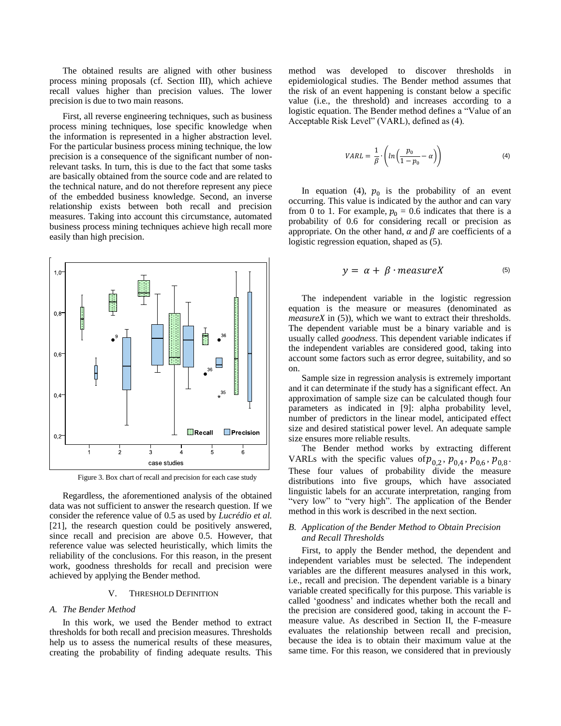The obtained results are aligned with other business process mining proposals (cf. Section [III\)](#page-2-0), which achieve recall values higher than precision values. The lower precision is due to two main reasons.

First, all reverse engineering techniques, such as business process mining techniques, lose specific knowledge when the information is represented in a higher abstraction level. For the particular business process mining technique, the low precision is a consequence of the significant number of nonrelevant tasks. In turn, this is due to the fact that some tasks are basically obtained from the source code and are related to the technical nature, and do not therefore represent any piece of the embedded business knowledge. Second, an inverse relationship exists between both recall and precision measures. Taking into account this circumstance, automated business process mining techniques achieve high recall more easily than high precision.



Figure 3. Box chart of recall and precision for each case study

<span id="page-5-1"></span>Regardless, the aforementioned analysis of the obtained data was not sufficient to answer the research question. If we consider the reference value of 0.5 as used by *Lucrédio et al.* [\[21\]](#page-8-12), the research question could be positively answered, since recall and precision are above 0.5. However, that reference value was selected heuristically, which limits the reliability of the conclusions. For this reason, in the present work, goodness thresholds for recall and precision were achieved by applying the Bender method.

#### V. THRESHOLD DEFINITION

### <span id="page-5-0"></span>*A. The Bender Method*

In this work, we used the Bender method to extract thresholds for both recall and precision measures. Thresholds help us to assess the numerical results of these measures, creating the probability of finding adequate results. This method was developed to discover thresholds in epidemiological studies. The Bender method assumes that the risk of an event happening is constant below a specific value (i.e., the threshold) and increases according to a logistic equation. The Bender method defines a "Value of an Acceptable Risk Level" (VARL), defined as (4).

$$
VARL = \frac{1}{\beta} \cdot \left( ln \left( \frac{p_0}{1 - p_0} - \alpha \right) \right) \tag{4}
$$

In equation (4),  $p_0$  is the probability of an event occurring. This value is indicated by the author and can vary from 0 to 1. For example,  $p_0 = 0.6$  indicates that there is a probability of 0.6 for considering recall or precision as appropriate. On the other hand,  $\alpha$  and  $\beta$  are coefficients of a logistic regression equation, shaped as (5).

$$
y = \alpha + \beta \cdot measureX \tag{5}
$$

The independent variable in the logistic regression equation is the measure or measures (denominated as *measureX* in (5)), which we want to extract their thresholds. The dependent variable must be a binary variable and is usually called *goodness*. This dependent variable indicates if the independent variables are considered good, taking into account some factors such as error degree, suitability, and so on.

Sample size in regression analysis is extremely important and it can determinate if the study has a significant effect. An approximation of sample size can be calculated though four parameters as indicated in [\[9\]](#page-8-22): alpha probability level, number of predictors in the linear model, anticipated effect size and desired statistical power level. An adequate sample size ensures more reliable results.

The Bender method works by extracting different VARLs with the specific values of  $p_{0.2}$ ,  $p_{0.4}$ ,  $p_{0.6}$ ,  $p_{0.8}$ . These four values of probability divide the measure distributions into five groups, which have associated linguistic labels for an accurate interpretation, ranging from "very low" to "very high". The application of the Bender method in this work is described in the next section.

# *B. Application of the Bender Method to Obtain Precision and Recall Thresholds*

First, to apply the Bender method, the dependent and independent variables must be selected. The independent variables are the different measures analysed in this work, i.e., recall and precision. The dependent variable is a binary variable created specifically for this purpose. This variable is called "goodness" and indicates whether both the recall and the precision are considered good, taking in account the Fmeasure value. As described in Section [II,](#page-1-0) the F-measure evaluates the relationship between recall and precision, because the idea is to obtain their maximum value at the same time. For this reason, we considered that in previously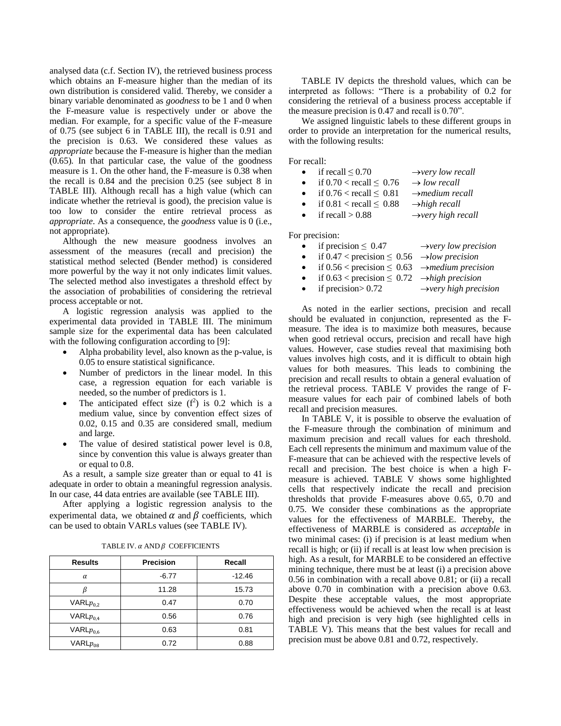analysed data (c.f. Sectio[n IV\)](#page-3-0), the retrieved business process which obtains an F-measure higher than the median of its own distribution is considered valid. Thereby, we consider a binary variable denominated as *goodness* to be 1 and 0 when the F-measure value is respectively under or above the median. For example, for a specific value of the F-measure of 0.75 (see subject 6 in [TABLE III\)](#page-4-1), the recall is 0.91 and the precision is 0.63. We considered these values as *appropriate* because the F-measure is higher than the median (0.65). In that particular case, the value of the goodness measure is 1. On the other hand, the F-measure is 0.38 when the recall is 0.84 and the precision 0.25 (see subject 8 in [TABLE III\)](#page-4-1). Although recall has a high value (which can indicate whether the retrieval is good), the precision value is too low to consider the entire retrieval process as *appropriate*. As a consequence, the *goodness* value is 0 (i.e., not appropriate).

Although the new measure goodness involves an assessment of the measures (recall and precision) the statistical method selected (Bender method) is considered more powerful by the way it not only indicates limit values. The selected method also investigates a threshold effect by the association of probabilities of considering the retrieval process acceptable or not.

A logistic regression analysis was applied to the experimental data provided in [TABLE III.](#page-4-1) The minimum sample size for the experimental data has been calculated with the following configuration according to [\[9\]](#page-8-22):

- Alpha probability level, also known as the p-value, is 0.05 to ensure statistical significance.
- Number of predictors in the linear model. In this case, a regression equation for each variable is needed, so the number of predictors is 1.
- The anticipated effect size  $(f^2)$  is 0.2 which is a medium value, since by convention effect sizes of 0.02, 0.15 and 0.35 are considered small, medium and large.
- The value of desired statistical power level is 0.8, since by convention this value is always greater than or equal to 0.8.

As a result, a sample size greater than or equal to 41 is adequate in order to obtain a meaningful regression analysis. In our case, 44 data entries are available (see [TABLE III\)](#page-4-1).

After applying a logistic regression analysis to the experimental data, we obtained  $\alpha$  and  $\beta$  coefficients, which can be used to obtain VARLs values (see TABLE IV).

<span id="page-6-0"></span>

| <b>Results</b> | Precision | Recall   |
|----------------|-----------|----------|
| α              | $-6.77$   | $-12.46$ |
|                | 11.28     | 15.73    |
| $VARIp_{0,2}$  | 0.47      | 0.70     |
| VARL $p_{0,4}$ | 0.56      | 0.76     |
| VARL $p_{0,6}$ | 0.63      | 0.81     |
| VARL $p_{08}$  | 0.72      | 0.88     |

TABLE IV.  $\alpha$  AND  $\beta$  COEFFICIENTS

[TABLE IV](#page-6-0) depicts the threshold values, which can be interpreted as follows: "There is a probability of 0.2 for considering the retrieval of a business process acceptable if the measure precision is 0.47 and recall is 0.70".

We assigned linguistic labels to these different groups in order to provide an interpretation for the numerical results, with the following results:

For recall:

| $\bullet$ | if recall $\leq 0.70$          | $\rightarrow$ very low recall  |
|-----------|--------------------------------|--------------------------------|
| $\bullet$ | if $0.70 <$ recall $\leq 0.76$ | $\rightarrow$ low recall       |
| $\bullet$ | if $0.76 <$ recall $\leq 0.81$ | $\rightarrow$ medium recall    |
| $\bullet$ | if $0.81 <$ recall $\leq 0.88$ | $\rightarrow$ high recall      |
| $\bullet$ | if recall $> 0.88$             | $\rightarrow$ very high recall |
|           |                                |                                |

For precision:

|           | • if precision $\leq 0.47$                                       | $\rightarrow$ very low precision  |
|-----------|------------------------------------------------------------------|-----------------------------------|
| $\bullet$ | if $0.47 <$ precision $\leq 0.56$ $\rightarrow$ low precision    |                                   |
| $\bullet$ | if $0.56 <$ precision $\leq 0.63$ $\rightarrow$ medium precision |                                   |
|           | if $0.63 <$ precision $\leq 0.72$ $\rightarrow$ high precision   |                                   |
|           | • if precision > $0.72$                                          | $\rightarrow$ very high precision |

As noted in the earlier sections, precision and recall should be evaluated in conjunction, represented as the Fmeasure. The idea is to maximize both measures, because when good retrieval occurs, precision and recall have high values. However, case studies reveal that maximising both values involves high costs, and it is difficult to obtain high values for both measures. This leads to combining the precision and recall results to obtain a general evaluation of the retrieval process. [TABLE V](#page-7-1) provides the range of Fmeasure values for each pair of combined labels of both recall and precision measures.

In [TABLE V,](#page-7-1) it is possible to observe the evaluation of the F-measure through the combination of minimum and maximum precision and recall values for each threshold. Each cell represents the minimum and maximum value of the F-measure that can be achieved with the respective levels of recall and precision. The best choice is when a high Fmeasure is achieved. [TABLE V](#page-7-1) shows some highlighted cells that respectively indicate the recall and precision thresholds that provide F-measures above 0.65, 0.70 and 0.75. We consider these combinations as the appropriate values for the effectiveness of MARBLE. Thereby, the effectiveness of MARBLE is considered as *acceptable* in two minimal cases: (i) if precision is at least medium when recall is high; or (ii) if recall is at least low when precision is high. As a result, for MARBLE to be considered an effective mining technique, there must be at least (i) a precision above 0.56 in combination with a recall above 0.81; or (ii) a recall above 0.70 in combination with a precision above 0.63. Despite these acceptable values, the most appropriate effectiveness would be achieved when the recall is at least high and precision is very high (see highlighted cells in [TABLE V\)](#page-7-1). This means that the best values for recall and precision must be above 0.81 and 0.72, respectively.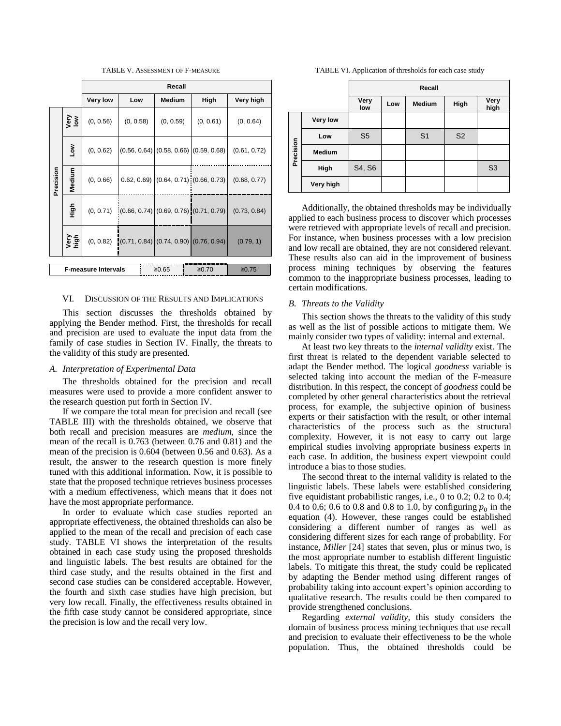TABLE V. ASSESSMENT OF F-MEASURE

<span id="page-7-1"></span>

|           |                                                       | Recall                 |                                              |                                              |                                                |              |  |
|-----------|-------------------------------------------------------|------------------------|----------------------------------------------|----------------------------------------------|------------------------------------------------|--------------|--|
|           |                                                       | <b>Very low</b><br>Low |                                              | Medium<br>High                               |                                                | Very high    |  |
|           | yery<br>Iow                                           | (0, 0.56)              | (0, 0.58)                                    | (0, 0.59)                                    | (0, 0.61)                                      | (0, 0.64)    |  |
|           | §≥                                                    | (0, 0.62)              |                                              | $(0.56, 0.64)$ $(0.58, 0.66)$ $(0.59, 0.68)$ |                                                | (0.61, 0.72) |  |
| Precision | Medium                                                | (0, 0.66)              |                                              |                                              | $(0.62, 0.69)$ $(0.64, 0.71)$ : $(0.66, 0.73)$ | (0.68, 0.77) |  |
|           | -<br>이번                                               | (0, 0.71)              |                                              |                                              | $(0.66, 0.74)$ $(0.69, 0.76)$ $(0.71, 0.79)$   | (0.73, 0.84) |  |
|           | Very<br>high                                          | (0, 0.82)              | $(0.71, 0.84)$ $(0.74, 0.90)$ $(0.76, 0.94)$ |                                              |                                                | (0.79, 1)    |  |
|           | <b>F-measure Intervals</b><br>≥0.75<br>≥0.65<br>≥0.70 |                        |                                              |                                              |                                                |              |  |

### <span id="page-7-0"></span>VI. DISCUSSION OF THE RESULTS AND IMPLICATIONS

This section discusses the thresholds obtained by applying the Bender method. First, the thresholds for recall and precision are used to evaluate the input data from the family of case studies in Section [IV.](#page-3-0) Finally, the threats to the validity of this study are presented.

#### *A. Interpretation of Experimental Data*

The thresholds obtained for the precision and recall measures were used to provide a more confident answer to the research question put forth in Section [IV.](#page-3-0)

If we compare the total mean for precision and recall (see [TABLE III\)](#page-4-1) with the thresholds obtained, we observe that both recall and precision measures are *medium*, since the mean of the recall is 0.763 (between 0.76 and 0.81) and the mean of the precision is 0.604 (between 0.56 and 0.63). As a result, the answer to the research question is more finely tuned with this additional information. Now, it is possible to state that the proposed technique retrieves business processes with a medium effectiveness, which means that it does not have the most appropriate performance.

In order to evaluate which case studies reported an appropriate effectiveness, the obtained thresholds can also be applied to the mean of the recall and precision of each case study. [TABLE VI](#page-7-2) shows the interpretation of the results obtained in each case study using the proposed thresholds and linguistic labels. The best results are obtained for the third case study, and the results obtained in the first and second case studies can be considered acceptable. However, the fourth and sixth case studies have high precision, but very low recall. Finally, the effectiveness results obtained in the fifth case study cannot be considered appropriate, since the precision is low and the recall very low.

TABLE VI. Application of thresholds for each case study

<span id="page-7-2"></span>

|           |                 | Recall         |     |                |                |                |
|-----------|-----------------|----------------|-----|----------------|----------------|----------------|
|           |                 | Very<br>low    | Low | <b>Medium</b>  | High           | Very<br>high   |
| Precision | <b>Very low</b> |                |     |                |                |                |
|           | Low             | S <sub>5</sub> |     | S <sub>1</sub> | S <sub>2</sub> |                |
|           | <b>Medium</b>   |                |     |                |                |                |
|           | High            | S4, S6         |     |                |                | S <sub>3</sub> |
|           | Very high       |                |     |                |                |                |

Additionally, the obtained thresholds may be individually applied to each business process to discover which processes were retrieved with appropriate levels of recall and precision. For instance, when business processes with a low precision and low recall are obtained, they are not considered relevant. These results also can aid in the improvement of business process mining techniques by observing the features common to the inappropriate business processes, leading to certain modifications.

#### *B. Threats to the Validity*

This section shows the threats to the validity of this study as well as the list of possible actions to mitigate them. We mainly consider two types of validity: internal and external.

At least two key threats to the *internal validity* exist. The first threat is related to the dependent variable selected to adapt the Bender method. The logical *goodness* variable is selected taking into account the median of the F-measure distribution. In this respect, the concept of *goodness* could be completed by other general characteristics about the retrieval process, for example, the subjective opinion of business experts or their satisfaction with the result, or other internal characteristics of the process such as the structural complexity. However, it is not easy to carry out large empirical studies involving appropriate business experts in each case. In addition, the business expert viewpoint could introduce a bias to those studies.

The second threat to the internal validity is related to the linguistic labels. These labels were established considering five equidistant probabilistic ranges, i.e., 0 to 0.2; 0.2 to 0.4; 0.4 to 0.6; 0.6 to 0.8 and 0.8 to 1.0, by configuring  $p_0$  in the equation (4). However, these ranges could be established considering a different number of ranges as well as considering different sizes for each range of probability. For instance, *Miller* [\[24\]](#page-9-22) states that seven, plus or minus two, is the most appropriate number to establish different linguistic labels. To mitigate this threat, the study could be replicated by adapting the Bender method using different ranges of probability taking into account expert"s opinion according to qualitative research. The results could be then compared to provide strengthened conclusions.

Regarding *external validity*, this study considers the domain of business process mining techniques that use recall and precision to evaluate their effectiveness to be the whole population. Thus, the obtained thresholds could be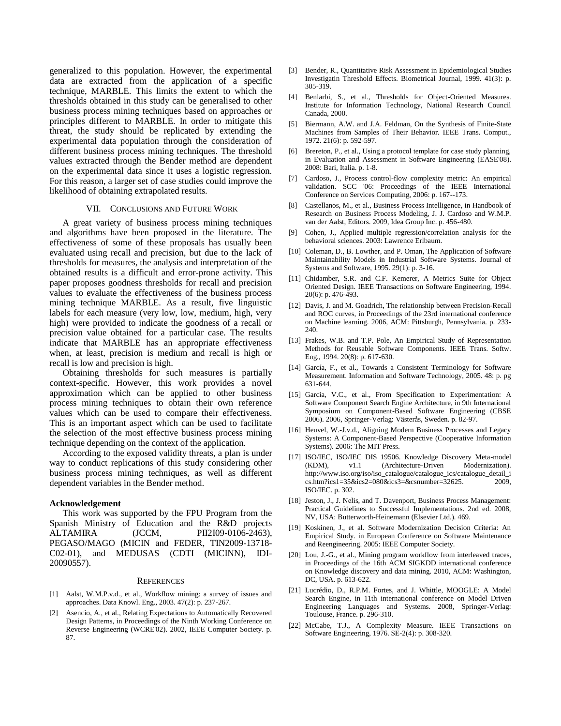generalized to this population. However, the experimental data are extracted from the application of a specific technique, MARBLE. This limits the extent to which the thresholds obtained in this study can be generalised to other business process mining techniques based on approaches or principles different to MARBLE. In order to mitigate this threat, the study should be replicated by extending the experimental data population through the consideration of different business process mining techniques. The threshold values extracted through the Bender method are dependent on the experimental data since it uses a logistic regression. For this reason, a larger set of case studies could improve the likelihood of obtaining extrapolated results.

### VII. CONCLUSIONS AND FUTURE WORK

<span id="page-8-7"></span>A great variety of business process mining techniques and algorithms have been proposed in the literature. The effectiveness of some of these proposals has usually been evaluated using recall and precision, but due to the lack of thresholds for measures, the analysis and interpretation of the obtained results is a difficult and error-prone activity. This paper proposes goodness thresholds for recall and precision values to evaluate the effectiveness of the business process mining technique MARBLE. As a result, five linguistic labels for each measure (very low, low, medium, high, very high) were provided to indicate the goodness of a recall or precision value obtained for a particular case. The results indicate that MARBLE has an appropriate effectiveness when, at least, precision is medium and recall is high or recall is low and precision is high.

Obtaining thresholds for such measures is partially context-specific. However, this work provides a novel approximation which can be applied to other business process mining techniques to obtain their own reference values which can be used to compare their effectiveness. This is an important aspect which can be used to facilitate the selection of the most effective business process mining technique depending on the context of the application.

According to the exposed validity threats, a plan is under way to conduct replications of this study considering other business process mining techniques, as well as different dependent variables in the Bender method.

### **Acknowledgement**

This work was supported by the FPU Program from the Spanish Ministry of Education and the R&D projects ALTAMIRA (JCCM, PII2I09-0106-2463), PEGASO/MAGO (MICIN and FEDER, TIN2009-13718- C02-01), and MEDUSAS (CDTI (MICINN), IDI-20090557).

#### **REFERENCES**

- <span id="page-8-4"></span>[1] Aalst, W.M.P.v.d., et al., Workflow mining: a survey of issues and approaches. Data Knowl. Eng., 2003. 47(2): p. 237-267.
- <span id="page-8-11"></span>[2] Asencio, A., et al., Relating Expectations to Automatically Recovered Design Patterns, in Proceedings of the Ninth Working Conference on Reverse Engineering (WCRE'02). 2002, IEEE Computer Society. p. 87.
- <span id="page-8-5"></span>[3] Bender, R., Quantitative Risk Assessment in Epidemiological Studies Investigatin Threshold Effects. Biometrical Journal, 1999. 41(3): p. 305-319.
- <span id="page-8-18"></span>[4] Benlarbi, S., et al., Thresholds for Object-Oriented Measures. Institute for Information Technology, National Research Council Canada, 2000.
- <span id="page-8-9"></span>[5] Biermann, A.W. and J.A. Feldman, On the Synthesis of Finite-State Machines from Samples of Their Behavior. IEEE Trans. Comput., 1972. 21(6): p. 592-597.
- <span id="page-8-20"></span>[6] Brereton, P., et al., Using a protocol template for case study planning, in Evaluation and Assessment in Software Engineering (EASE'08). 2008: Bari, Italia. p. 1-8.
- <span id="page-8-15"></span>[7] Cardoso, J., Process control-flow complexity metric: An empirical validation. SCC '06: Proceedings of the IEEE International Conference on Services Computing, 2006: p. 167--173.
- <span id="page-8-0"></span>[8] Castellanos, M., et al., Business Process Intelligence, in Handbook of Research on Business Process Modeling, J. J. Cardoso and W.M.P. van der Aalst, Editors. 2009, Idea Group Inc. p. 456-480.
- <span id="page-8-22"></span>[9] Cohen, J., Applied multiple regression/correlation analysis for the behavioral sciences. 2003: Lawrence Erlbaum.
- <span id="page-8-17"></span>[10] Coleman, D., B. Lowther, and P. Oman, The Application of Software Maintainability Models in Industrial Software Systems. Journal of Systems and Software, 1995. 29(1): p. 3-16.
- <span id="page-8-19"></span>[11] Chidamber, S.R. and C.F. Kemerer, A Metrics Suite for Object Oriented Design. IEEE Transactions on Software Engineering, 1994. 20(6): p. 476-493.
- <span id="page-8-8"></span>[12] Davis, J. and M. Goadrich, The relationship between Precision-Recall and ROC curves, in Proceedings of the 23rd international conference on Machine learning. 2006, ACM: Pittsburgh, Pennsylvania. p. 233- 240.
- <span id="page-8-13"></span>[13] Frakes, W.B. and T.P. Pole, An Empirical Study of Representation Methods for Reusable Software Components. IEEE Trans. Softw. Eng., 1994. 20(8): p. 617-630.
- <span id="page-8-6"></span>[14] García, F., et al., Towards a Consistent Terminology for Software Measurement. Information and Software Technology, 2005. 48: p. pg 631-644.
- <span id="page-8-14"></span>[15] Garcia, V.C., et al., From Specification to Experimentation: A Software Component Search Engine Architecture, in 9th International Symposium on Component-Based Software Engineering (CBSE 2006). 2006, Springer-Verlag: Västerås, Sweden. p. 82-97.
- <span id="page-8-3"></span>[16] Heuvel, W.-J.v.d., Aligning Modern Business Processes and Legacy Systems: A Component-Based Perspective (Cooperative Information Systems). 2006: The MIT Press.
- <span id="page-8-21"></span>[17] ISO/IEC, ISO/IEC DIS 19506. Knowledge Discovery Meta-model v1.1 (Architecture-Driven Modernization). [http://www.iso.org/iso/iso\\_catalogue/catalogue\\_ics/catalogue\\_detail\\_i](http://www.iso.org/iso/iso_catalogue/catalogue_ics/catalogue_detail_ics.htm?ics1=35&ics2=080&ics3=&csnumber=32625) [cs.htm?ics1=35&ics2=080&ics3=&csnumber=32625.](http://www.iso.org/iso/iso_catalogue/catalogue_ics/catalogue_detail_ics.htm?ics1=35&ics2=080&ics3=&csnumber=32625) 2009, ISO/IEC. p. 302.
- <span id="page-8-1"></span>[18] Jeston, J., J. Nelis, and T. Davenport, Business Process Management: Practical Guidelines to Successful Implementations. 2nd ed. 2008, NV, USA: Butterworth-Heinemann (Elsevier Ltd.). 469.
- <span id="page-8-2"></span>[19] Koskinen, J., et al. Software Modernization Decision Criteria: An Empirical Study. in European Conference on Software Maintenance and Reengineering. 2005: IEEE Computer Society.
- <span id="page-8-10"></span>[20] Lou, J.-G., et al., Mining program workflow from interleaved traces, in Proceedings of the 16th ACM SIGKDD international conference on Knowledge discovery and data mining. 2010, ACM: Washington, DC, USA. p. 613-622.
- <span id="page-8-12"></span>[21] Lucrédio, D., R.P.M. Fortes, and J. Whittle, MOOGLE: A Model Search Engine, in 11th international conference on Model Driven Engineering Languages and Systems. 2008, Springer-Verlag: Toulouse, France. p. 296-310.
- <span id="page-8-16"></span>[22] McCabe, T.J., A Complexity Measure. IEEE Transactions on Software Engineering, 1976. SE-2(4): p. 308-320.